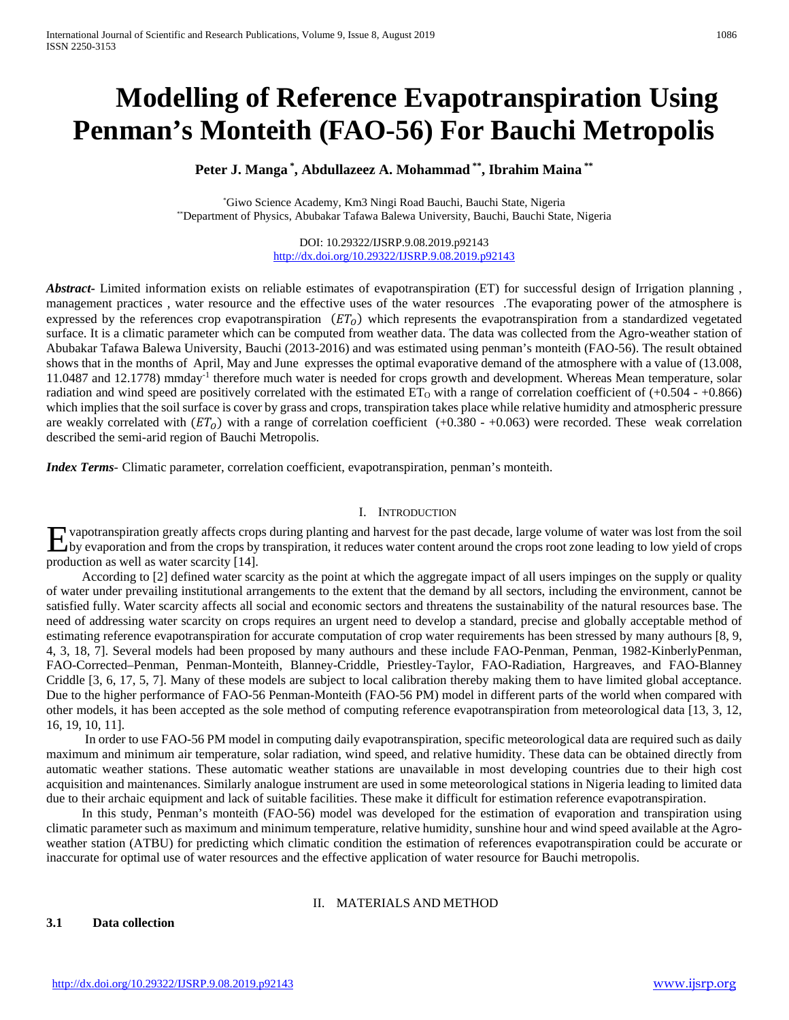# **Modelling of Reference Evapotranspiration Using Penman's Monteith (FAO-56) For Bauchi Metropolis**

#### **Peter J. Manga \* , Abdullazeez A. Mohammad \*\*, Ibrahim Maina \*\***

\* Giwo Science Academy, Km3 Ningi Road Bauchi, Bauchi State, Nigeria \*\*Department of Physics, Abubakar Tafawa Balewa University, Bauchi, Bauchi State, Nigeria

#### DOI: 10.29322/IJSRP.9.08.2019.p92143 <http://dx.doi.org/10.29322/IJSRP.9.08.2019.p92143>

*Abstract***-** Limited information exists on reliable estimates of evapotranspiration (ET) for successful design of Irrigation planning , management practices , water resource and the effective uses of the water resources .The evaporating power of the atmosphere is expressed by the references crop evapotranspiration  $(ET<sub>O</sub>)$  which represents the evapotranspiration from a standardized vegetated surface. It is a climatic parameter which can be computed from weather data. The data was collected from the Agro-weather station of Abubakar Tafawa Balewa University, Bauchi (2013-2016) and was estimated using penman's monteith (FAO-56). The result obtained shows that in the months of April, May and June expresses the optimal evaporative demand of the atmosphere with a value of (13.008, 11.0487 and 12.1778) mmday-1 therefore much water is needed for crops growth and development. Whereas Mean temperature, solar radiation and wind speed are positively correlated with the estimated  $ET_0$  with a range of correlation coefficient of  $(+0.504 - +0.866)$ which implies that the soil surface is cover by grass and crops, transpiration takes place while relative humidity and atmospheric pressure are weakly correlated with  $(ET<sub>0</sub>)$  with a range of correlation coefficient (+0.380 - +0.063) were recorded. These weak correlation described the semi-arid region of Bauchi Metropolis.

*Index Terms*- Climatic parameter, correlation coefficient, evapotranspiration, penman's monteith.

#### I. INTRODUCTION

vapotranspiration greatly affects crops during planting and harvest for the past decade, large volume of water was lost from the soil Exaportanspiration greatly affects crops during planting and harvest for the past decade, large volume of water was lost from the soil<br>by evaporation and from the crops by transpiration, it reduces water content around the production as well as water scarcity [14].

 According to [2] defined water scarcity as the point at which the aggregate impact of all users impinges on the supply or quality of water under prevailing institutional arrangements to the extent that the demand by all sectors, including the environment, cannot be satisfied fully. Water scarcity affects all social and economic sectors and threatens the sustainability of the natural resources base. The need of addressing water scarcity on crops requires an urgent need to develop a standard, precise and globally acceptable method of estimating reference evapotranspiration for accurate computation of crop water requirements has been stressed by many authours [8, 9, 4, 3, 18, 7]. Several models had been proposed by many authours and these include FAO-Penman, Penman, 1982-KinberlyPenman, FAO-Corrected–Penman, Penman-Monteith, Blanney-Criddle, Priestley-Taylor, FAO-Radiation, Hargreaves, and FAO-Blanney Criddle [3, 6, 17, 5, 7]. Many of these models are subject to local calibration thereby making them to have limited global acceptance. Due to the higher performance of FAO-56 Penman-Monteith (FAO-56 PM) model in different parts of the world when compared with other models, it has been accepted as the sole method of computing reference evapotranspiration from meteorological data [13, 3, 12, 16, 19, 10, 11].

 In order to use FAO-56 PM model in computing daily evapotranspiration, specific meteorological data are required such as daily maximum and minimum air temperature, solar radiation, wind speed, and relative humidity. These data can be obtained directly from automatic weather stations. These automatic weather stations are unavailable in most developing countries due to their high cost acquisition and maintenances. Similarly analogue instrument are used in some meteorological stations in Nigeria leading to limited data due to their archaic equipment and lack of suitable facilities. These make it difficult for estimation reference evapotranspiration.

 In this study, Penman's monteith (FAO-56) model was developed for the estimation of evaporation and transpiration using climatic parameter such as maximum and minimum temperature, relative humidity, sunshine hour and wind speed available at the Agroweather station (ATBU) for predicting which climatic condition the estimation of references evapotranspiration could be accurate or inaccurate for optimal use of water resources and the effective application of water resource for Bauchi metropolis.

#### II. MATERIALS AND METHOD

**3.1 Data collection**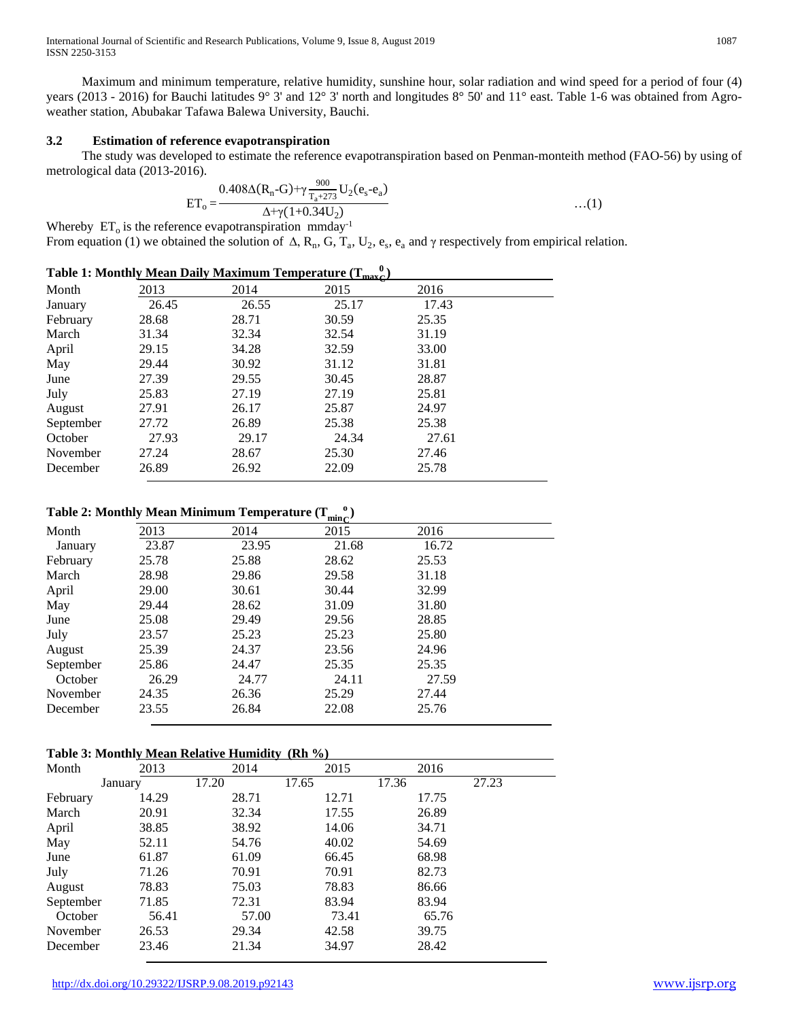International Journal of Scientific and Research Publications, Volume 9, Issue 8, August 2019 1087 ISSN 2250-3153

 Maximum and minimum temperature, relative humidity, sunshine hour, solar radiation and wind speed for a period of four (4) years (2013 - 2016) for Bauchi latitudes 9° 3' and 12° 3' north and longitudes 8° 50' and 11° east. Table 1-6 was obtained from Agroweather station, Abubakar Tafawa Balewa University, Bauchi.

#### **3.2 Estimation of reference evapotranspiration**

 The study was developed to estimate the reference evapotranspiration based on Penman-monteith method (FAO-56) by using of metrological data (2013-2016).

$$
ET_{o} = \frac{0.408\Delta(R_{n}-G)+\gamma\frac{900}{T_{a}+273}U_{2}(e_{s}-e_{a})}{\Delta+\gamma(1+0.34U_{2})}
$$
...(1)

Whereby  $ET_0$  is the reference evapotranspiration mmday<sup>-1</sup> From equation (1) we obtained the solution of  $\Delta$ , R<sub>n</sub>, G, T<sub>a</sub>, U<sub>2</sub>, e<sub>s</sub>, e<sub>a</sub> and  $\gamma$  respectively from empirical relation.

| Table 1: Monthly Mean Daily Maximum Temperature $(T_{\text{max}})^{U}$ |       |       |       |       |  |  |  |
|------------------------------------------------------------------------|-------|-------|-------|-------|--|--|--|
| Month                                                                  | 2013  | 2014  | 2015  | 2016  |  |  |  |
| January                                                                | 26.45 | 26.55 | 25.17 | 17.43 |  |  |  |
| February                                                               | 28.68 | 28.71 | 30.59 | 25.35 |  |  |  |
| March                                                                  | 31.34 | 32.34 | 32.54 | 31.19 |  |  |  |
| April                                                                  | 29.15 | 34.28 | 32.59 | 33.00 |  |  |  |
| May                                                                    | 29.44 | 30.92 | 31.12 | 31.81 |  |  |  |
| June                                                                   | 27.39 | 29.55 | 30.45 | 28.87 |  |  |  |
| July                                                                   | 25.83 | 27.19 | 27.19 | 25.81 |  |  |  |
| August                                                                 | 27.91 | 26.17 | 25.87 | 24.97 |  |  |  |
| September                                                              | 27.72 | 26.89 | 25.38 | 25.38 |  |  |  |
| October                                                                | 27.93 | 29.17 | 24.34 | 27.61 |  |  |  |
| November                                                               | 27.24 | 28.67 | 25.30 | 27.46 |  |  |  |
| December                                                               | 26.89 | 26.92 | 22.09 | 25.78 |  |  |  |

## **Table 2: Monthl<u>y Mean Minimum Temperature (** $T_{minC}^o$ **)</u>**

|           |       |       | $\mathbf{mnc}'$ |       |  |
|-----------|-------|-------|-----------------|-------|--|
| Month     | 2013  | 2014  | 2015            | 2016  |  |
| January   | 23.87 | 23.95 | 21.68           | 16.72 |  |
| February  | 25.78 | 25.88 | 28.62           | 25.53 |  |
| March     | 28.98 | 29.86 | 29.58           | 31.18 |  |
| April     | 29.00 | 30.61 | 30.44           | 32.99 |  |
| May       | 29.44 | 28.62 | 31.09           | 31.80 |  |
| June      | 25.08 | 29.49 | 29.56           | 28.85 |  |
| July      | 23.57 | 25.23 | 25.23           | 25.80 |  |
| August    | 25.39 | 24.37 | 23.56           | 24.96 |  |
| September | 25.86 | 24.47 | 25.35           | 25.35 |  |
| October   | 26.29 | 24.77 | 24.11           | 27.59 |  |
| November  | 24.35 | 26.36 | 25.29           | 27.44 |  |
| December  | 23.55 | 26.84 | 22.08           | 25.76 |  |
|           |       |       |                 |       |  |

#### **Table 3: Monthly Mean Relative Humidity (Rh %)**

| Month     | 2013    | 2014  | 2015  | 2016  |       |
|-----------|---------|-------|-------|-------|-------|
|           | January | 17.20 | 17.65 | 17.36 | 27.23 |
| February  | 14.29   | 28.71 | 12.71 | 17.75 |       |
| March     | 20.91   | 32.34 | 17.55 | 26.89 |       |
| April     | 38.85   | 38.92 | 14.06 | 34.71 |       |
| May       | 52.11   | 54.76 | 40.02 | 54.69 |       |
| June      | 61.87   | 61.09 | 66.45 | 68.98 |       |
| July      | 71.26   | 70.91 | 70.91 | 82.73 |       |
| August    | 78.83   | 75.03 | 78.83 | 86.66 |       |
| September | 71.85   | 72.31 | 83.94 | 83.94 |       |
| October   | 56.41   | 57.00 | 73.41 | 65.76 |       |
| November  | 26.53   | 29.34 | 42.58 | 39.75 |       |
| December  | 23.46   | 21.34 | 34.97 | 28.42 |       |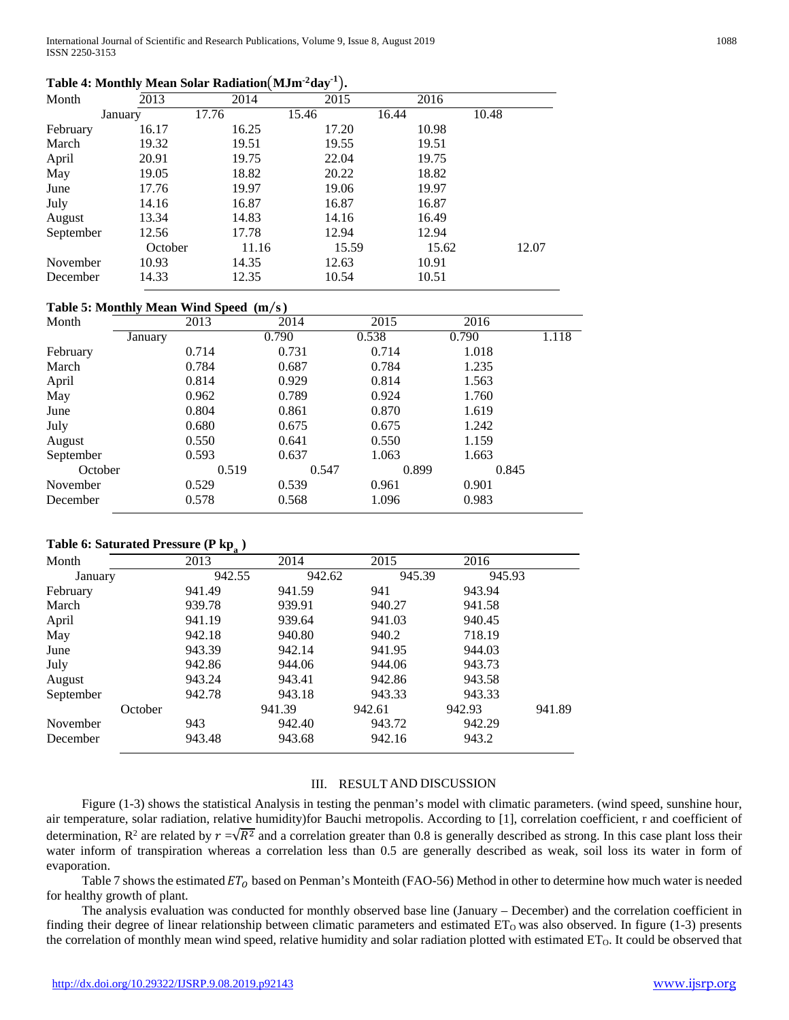### **Table 4: Monthly Mean Solar Radiation**�**MJm-2day-1** �**.**

| Month     | 2013    | 2014  | 2015  | 2016  |       |
|-----------|---------|-------|-------|-------|-------|
|           | January | 17.76 | 15.46 | 16.44 | 10.48 |
| February  | 16.17   | 16.25 | 17.20 | 10.98 |       |
| March     | 19.32   | 19.51 | 19.55 | 19.51 |       |
| April     | 20.91   | 19.75 | 22.04 | 19.75 |       |
| May       | 19.05   | 18.82 | 20.22 | 18.82 |       |
| June      | 17.76   | 19.97 | 19.06 | 19.97 |       |
| July      | 14.16   | 16.87 | 16.87 | 16.87 |       |
| August    | 13.34   | 14.83 | 14.16 | 16.49 |       |
| September | 12.56   | 17.78 | 12.94 | 12.94 |       |
|           | October | 11.16 | 15.59 | 15.62 | 12.07 |
| November  | 10.93   | 14.35 | 12.63 | 10.91 |       |
| December  | 14.33   | 12.35 | 10.54 | 10.51 |       |

#### **Table 5: Monthly Mean Wind Speed (m**⁄**s)**

|           | $\tilde{\phantom{a}}$ |       |       |       |       |       |
|-----------|-----------------------|-------|-------|-------|-------|-------|
| Month     |                       | 2013  | 2014  | 2015  | 2016  |       |
|           | January               |       | 0.790 | 0.538 | 0.790 | 1.118 |
| February  |                       | 0.714 | 0.731 | 0.714 | 1.018 |       |
| March     |                       | 0.784 | 0.687 | 0.784 | 1.235 |       |
| April     |                       | 0.814 | 0.929 | 0.814 | 1.563 |       |
| May       |                       | 0.962 | 0.789 | 0.924 | 1.760 |       |
| June      |                       | 0.804 | 0.861 | 0.870 | 1.619 |       |
| July      |                       | 0.680 | 0.675 | 0.675 | 1.242 |       |
| August    |                       | 0.550 | 0.641 | 0.550 | 1.159 |       |
| September |                       | 0.593 | 0.637 | 1.063 | 1.663 |       |
| October   |                       | 0.519 | 0.547 | 0.899 | 0.845 |       |
| November  |                       | 0.529 | 0.539 | 0.961 | 0.901 |       |
| December  |                       | 0.578 | 0.568 | 1.096 | 0.983 |       |
|           |                       |       |       |       |       |       |

#### **Table 6: Saturated Pressure (P kpa )**

|           |         | ra 1   |        |        |        |        |
|-----------|---------|--------|--------|--------|--------|--------|
| Month     |         | 2013   | 2014   | 2015   | 2016   |        |
| January   |         | 942.55 | 942.62 | 945.39 | 945.93 |        |
| February  |         | 941.49 | 941.59 | 941    | 943.94 |        |
| March     |         | 939.78 | 939.91 | 940.27 | 941.58 |        |
| April     |         | 941.19 | 939.64 | 941.03 | 940.45 |        |
| May       |         | 942.18 | 940.80 | 940.2  | 718.19 |        |
| June      |         | 943.39 | 942.14 | 941.95 | 944.03 |        |
| July      |         | 942.86 | 944.06 | 944.06 | 943.73 |        |
| August    |         | 943.24 | 943.41 | 942.86 | 943.58 |        |
| September |         | 942.78 | 943.18 | 943.33 | 943.33 |        |
|           | October |        | 941.39 | 942.61 | 942.93 | 941.89 |
| November  |         | 943    | 942.40 | 943.72 | 942.29 |        |
| December  |         | 943.48 | 943.68 | 942.16 | 943.2  |        |

#### III. RESULT AND DISCUSSION

 Figure (1-3) shows the statistical Analysis in testing the penman's model with climatic parameters. (wind speed, sunshine hour, air temperature, solar radiation, relative humidity)for Bauchi metropolis. According to [1], correlation coefficient, r and coefficient of determination,  $R^2$  are related by  $r = \sqrt{R^2}$  and a correlation greater than 0.8 is generally described as strong. In this case plant loss their water inform of transpiration whereas a correlation less than 0.5 are generally described as weak, soil loss its water in form of evaporation.

Table 7 shows the estimated  $ET_0$  based on Penman's Monteith (FAO-56) Method in other to determine how much water is needed for healthy growth of plant.

 The analysis evaluation was conducted for monthly observed base line (January – December) and the correlation coefficient in finding their degree of linear relationship between climatic parameters and estimated  $ET_0$  was also observed. In figure (1-3) presents the correlation of monthly mean wind speed, relative humidity and solar radiation plotted with estimated  $ET<sub>0</sub>$ . It could be observed that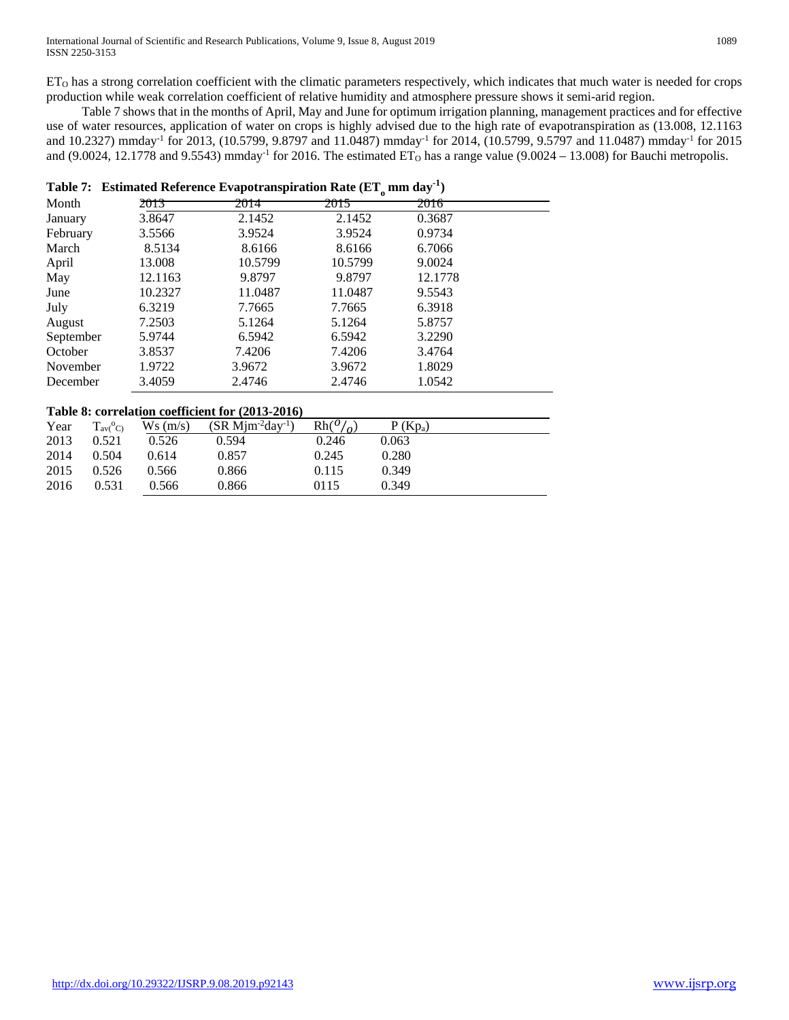production while weak correlation coefficient of relative humidity and atmosphere pressure shows it semi-arid region. Table 7 shows that in the months of April, May and June for optimum irrigation planning, management practices and for effective use of water resources, application of water on crops is highly advised due to the high rate of evapotranspiration as (13.008, 12.1163 and 10.2327) mmday<sup>-1</sup> for 2013, (10.5799, 9.8797 and 11.0487) mmday<sup>-1</sup> for 2014, (10.5799, 9.5797 and 11.0487) mmday<sup>-1</sup> for 2015 and (9.0024, 12.1778 and 9.5543) mmday<sup>-1</sup> for 2016. The estimated  $ET_0$  has a range value (9.0024 – 13.008) for Bauchi metropolis.

|           | Table 7: Estimated Reference Evapotranspiration Rate $(ETa mm day-1)$ |         |         |         |  |  |  |  |
|-----------|-----------------------------------------------------------------------|---------|---------|---------|--|--|--|--|
| Month     | 2013                                                                  | 2014    | 2015    | 2016    |  |  |  |  |
| January   | 3.8647                                                                | 2.1452  | 2.1452  | 0.3687  |  |  |  |  |
| February  | 3.5566                                                                | 3.9524  | 3.9524  | 0.9734  |  |  |  |  |
| March     | 8.5134                                                                | 8.6166  | 8.6166  | 6.7066  |  |  |  |  |
| April     | 13.008                                                                | 10.5799 | 10.5799 | 9.0024  |  |  |  |  |
| May       | 12.1163                                                               | 9.8797  | 9.8797  | 12.1778 |  |  |  |  |
| June      | 10.2327                                                               | 11.0487 | 11.0487 | 9.5543  |  |  |  |  |
| July      | 6.3219                                                                | 7.7665  | 7.7665  | 6.3918  |  |  |  |  |
| August    | 7.2503                                                                | 5.1264  | 5.1264  | 5.8757  |  |  |  |  |
| September | 5.9744                                                                | 6.5942  | 6.5942  | 3.2290  |  |  |  |  |
| October   | 3.8537                                                                | 7.4206  | 7.4206  | 3.4764  |  |  |  |  |
| November  | 1.9722                                                                | 3.9672  | 3.9672  | 1.8029  |  |  |  |  |
| December  | 3.4059                                                                | 2.4746  | 2.4746  | 1.0542  |  |  |  |  |

#### **Table 8: correlation coefficient for (2013-2016)**

| Year | $T_{\rm av}$ <sup>o</sup> C) | Ws(m/s) | $(SR Mim^2day^{-1})$ | $Rh(^{0}/_{0})$ | $P(Kp_a)$ |  |
|------|------------------------------|---------|----------------------|-----------------|-----------|--|
| 2013 | 0.521                        | 0.526   | 0.594                | 0.246           | 0.063     |  |
| 2014 | 0.504                        | 0.614   | 0.857                | 0.245           | 0.280     |  |
| 2015 | 0.526                        | 0.566   | 0.866                | 0.115           | 0.349     |  |
| 2016 | 0.531                        | 0.566   | 0.866                | 0115            | 0.349     |  |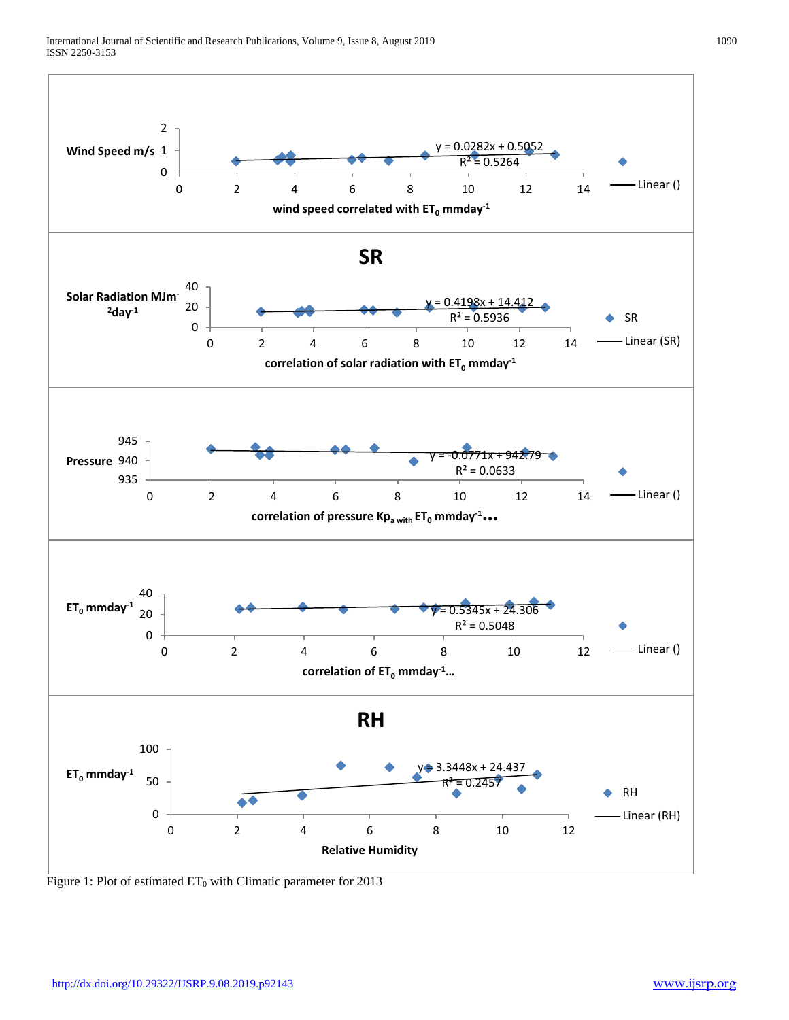

Figure 1: Plot of estimated  $ET_0$  with Climatic parameter for 2013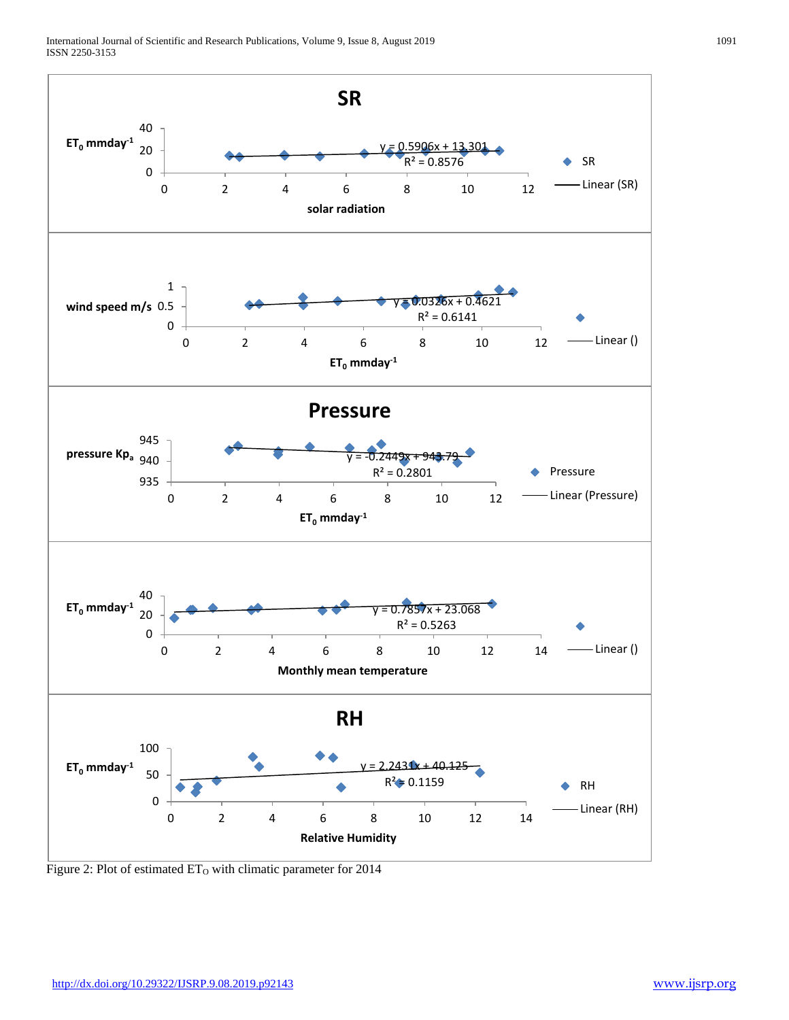

Figure 2: Plot of estimated ET<sub>o</sub> with climatic parameter for 2014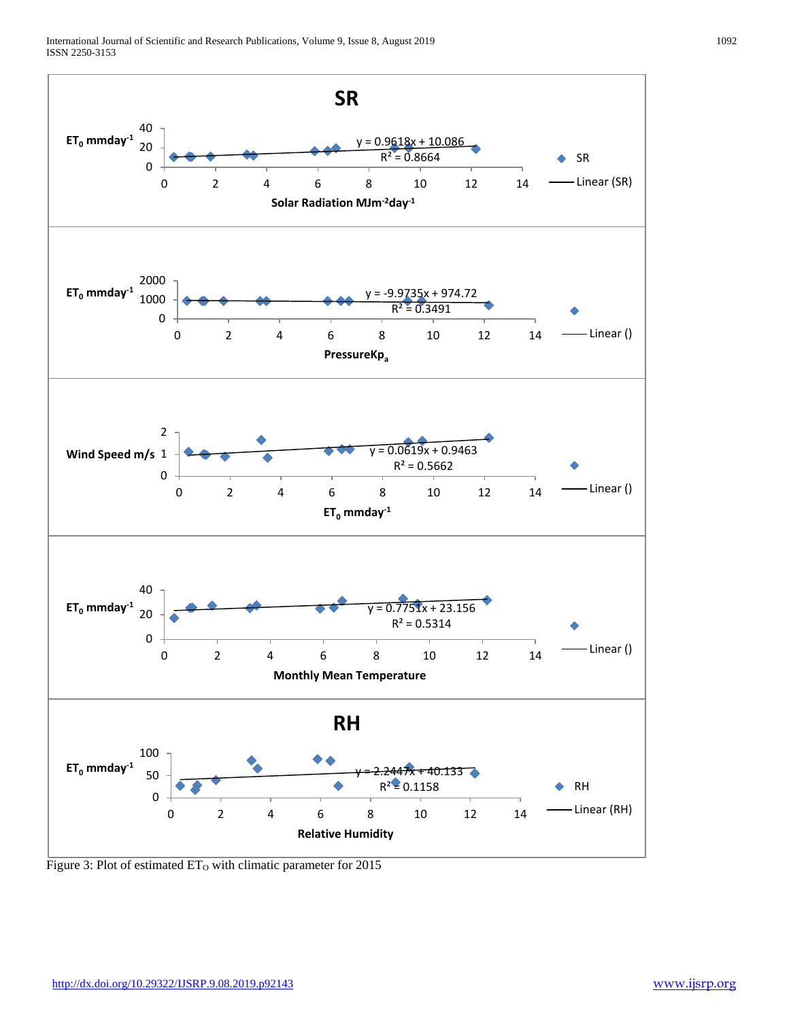

Figure 3: Plot of estimated  $ET_0$  with climatic parameter for 2015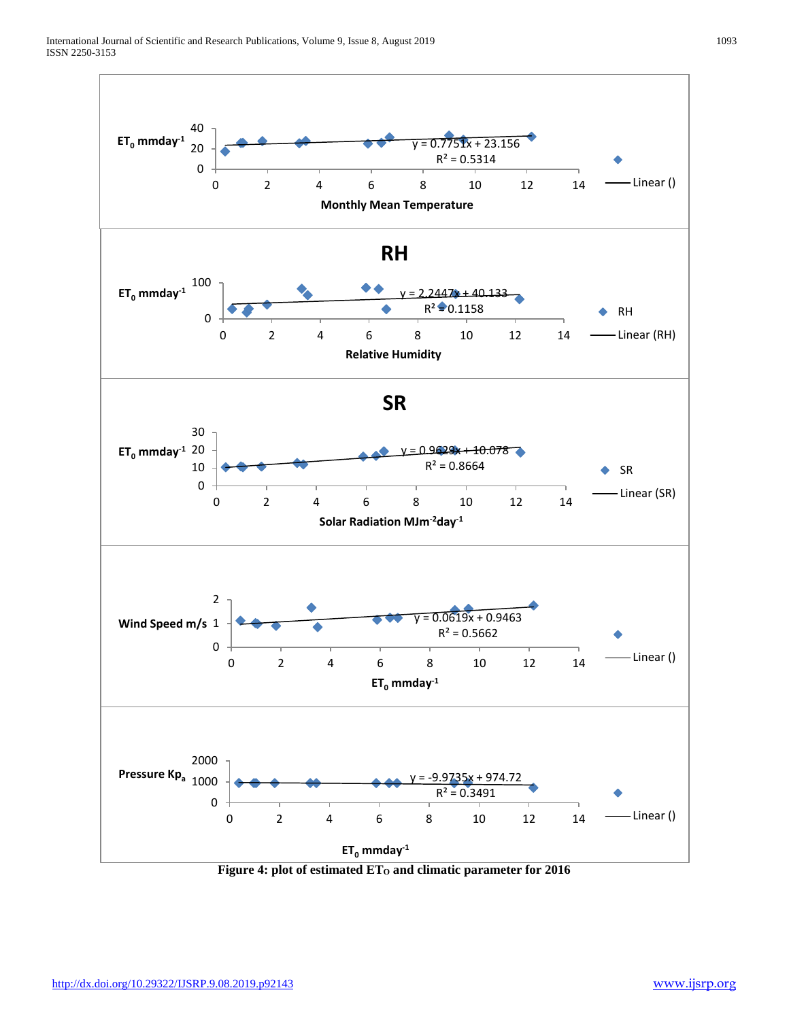

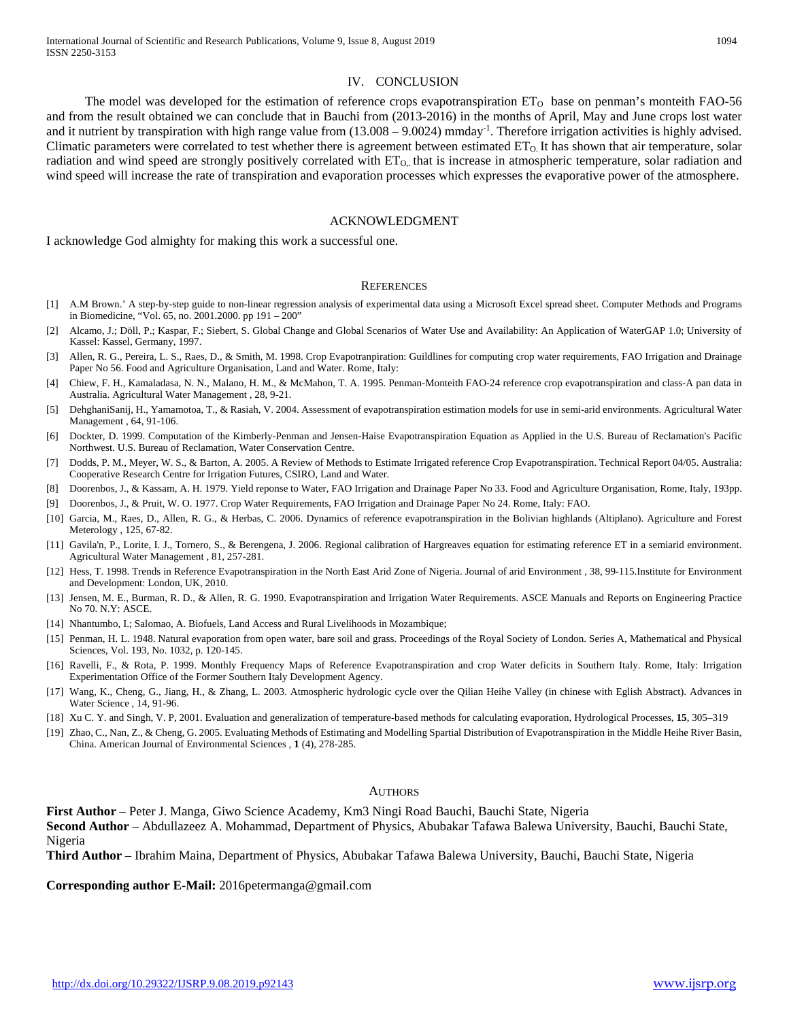#### IV. CONCLUSION

The model was developed for the estimation of reference crops evapotranspiration  $ET_0$  base on penman's monteith FAO-56 and from the result obtained we can conclude that in Bauchi from (2013-2016) in the months of April, May and June crops lost water and it nutrient by transpiration with high range value from (13.008 – 9.0024) mmday<sup>-1</sup>. Therefore irrigation activities is highly advised. Climatic parameters were correlated to test whether there is agreement between estimated  $ET_0$ . It has shown that air temperature, solar radiation and wind speed are strongly positively correlated with  $ET<sub>O<sub>o</sub></sub>$  that is increase in atmospheric temperature, solar radiation and wind speed will increase the rate of transpiration and evaporation processes which expresses the evaporative power of the atmosphere.

#### ACKNOWLEDGMENT

I acknowledge God almighty for making this work a successful one.

#### **REFERENCES**

- [1] A.M Brown.' A step-by-step guide to non-linear regression analysis of experimental data using a Microsoft Excel spread sheet. Computer Methods and Programs in Biomedicine, "Vol. 65, no. 2001.2000. pp 191 – 200"
- [2] Alcamo, J.; Döll, P.; Kaspar, F.; Siebert, S. Global Change and Global Scenarios of Water Use and Availability: An Application of WaterGAP 1.0; University of Kassel: Kassel, Germany, 1997.
- [3] Allen, R. G., Pereira, L. S., Raes, D., & Smith, M. 1998. Crop Evapotranpiration: Guildlines for computing crop water requirements, FAO Irrigation and Drainage Paper No 56. Food and Agriculture Organisation, Land and Water. Rome, Italy:
- [4] Chiew, F. H., Kamaladasa, N. N., Malano, H. M., & McMahon, T. A. 1995. Penman-Monteith FAO-24 reference crop evapotranspiration and class-A pan data in Australia. Agricultural Water Management , 28, 9-21.
- [5] DehghaniSanij, H., Yamamotoa, T., & Rasiah, V. 2004. Assessment of evapotranspiration estimation models for use in semi-arid environments. Agricultural Water Management , 64, 91-106.
- [6] Dockter, D. 1999. Computation of the Kimberly-Penman and Jensen-Haise Evapotranspiration Equation as Applied in the U.S. Bureau of Reclamation's Pacific Northwest. U.S. Bureau of Reclamation, Water Conservation Centre.
- [7] Dodds, P. M., Meyer, W. S., & Barton, A. 2005. A Review of Methods to Estimate Irrigated reference Crop Evapotranspiration. Technical Report 04/05. Australia: Cooperative Research Centre for Irrigation Futures, CSIRO, Land and Water.
- [8] Doorenbos, J., & Kassam, A. H. 1979. Yield reponse to Water, FAO Irrigation and Drainage Paper No 33. Food and Agriculture Organisation, Rome, Italy, 193pp.
- [9] Doorenbos, J., & Pruit, W. O. 1977. Crop Water Requirements, FAO Irrigation and Drainage Paper No 24. Rome, Italy: FAO.
- [10] Garcia, M., Raes, D., Allen, R. G., & Herbas, C. 2006. Dynamics of reference evapotranspiration in the Bolivian highlands (Altiplano). Agriculture and Forest Meterology , 125, 67-82.
- [11] Gavila'n, P., Lorite, I. J., Tornero, S., & Berengena, J. 2006. Regional calibration of Hargreaves equation for estimating reference ET in a semiarid environment. Agricultural Water Management , 81, 257-281.
- [12] Hess, T. 1998. Trends in Reference Evapotranspiration in the North East Arid Zone of Nigeria. Journal of arid Environment , 38, 99-115.Institute for Environment and Development: London, UK, 2010.
- [13] Jensen, M. E., Burman, R. D., & Allen, R. G. 1990. Evapotranspiration and Irrigation Water Requirements. ASCE Manuals and Reports on Engineering Practice No 70. N.Y: ASCE.
- [14] Nhantumbo, I.; Salomao, A. Biofuels, Land Access and Rural Livelihoods in Mozambique;
- [15] Penman, H. L. 1948. Natural evaporation from open water, bare soil and grass. Proceedings of the Royal Society of London. Series A, Mathematical and Physical Sciences, Vol. 193, No. 1032, p. 120-145.
- [16] Ravelli, F., & Rota, P. 1999. Monthly Frequency Maps of Reference Evapotranspiration and crop Water deficits in Southern Italy. Rome, Italy: Irrigation Experimentation Office of the Former Southern Italy Development Agency.
- [17] Wang, K., Cheng, G., Jiang, H., & Zhang, L. 2003. Atmospheric hydrologic cycle over the Qilian Heihe Valley (in chinese with Eglish Abstract). Advances in Water Science , 14, 91-96.
- [18] Xu C. Y. and Singh, V. P, 2001. Evaluation and generalization of temperature-based methods for calculating evaporation, Hydrological Processes, **15**, 305–319
- [19] Zhao, C., Nan, Z., & Cheng, G. 2005. Evaluating Methods of Estimating and Modelling Spartial Distribution of Evapotranspiration in the Middle Heihe River Basin, China. American Journal of Environmental Sciences , **1** (4), 278-285.

#### AUTHORS

**First Author** – Peter J. Manga, Giwo Science Academy, Km3 Ningi Road Bauchi, Bauchi State, Nigeria **Second Author** – Abdullazeez A. Mohammad, Department of Physics, Abubakar Tafawa Balewa University, Bauchi, Bauchi State, Nigeria

**Third Author** – Ibrahim Maina, Department of Physics, Abubakar Tafawa Balewa University, Bauchi, Bauchi State, Nigeria

**Corresponding author E-Mail:** 2016petermanga@gmail.com